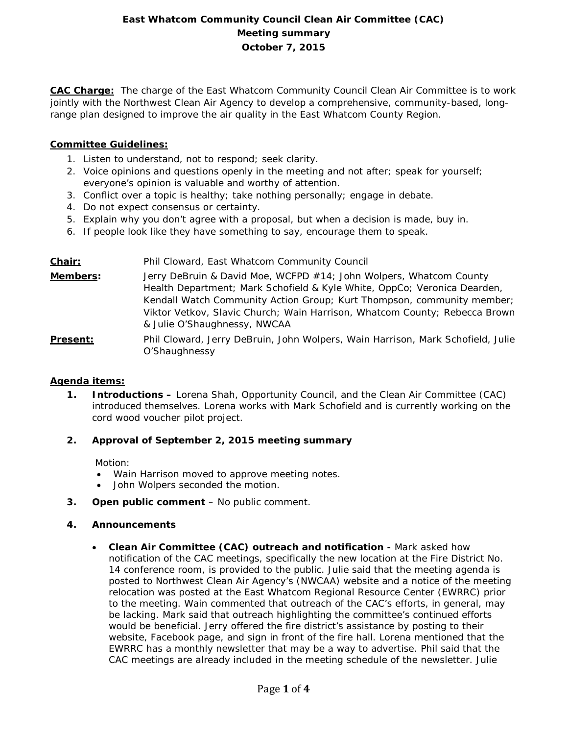# **East Whatcom Community Council Clean Air Committee (CAC) Meeting summary October 7, 2015**

**CAC Charge:** The charge of the East Whatcom Community Council Clean Air Committee is to work jointly with the Northwest Clean Air Agency to develop a comprehensive, community-based, longrange plan designed to improve the air quality in the East Whatcom County Region.

## **Committee Guidelines:**

- 1. Listen to understand, not to respond; seek clarity.
- 2. Voice opinions and questions openly in the meeting and not after; speak for yourself; everyone's opinion is valuable and worthy of attention.
- 3. Conflict over a topic is healthy; take nothing personally; engage in debate.
- 4. Do not expect consensus or certainty.
- 5. Explain why you don't agree with a proposal, but when a decision is made, buy in.
- 6. If people look like they have something to say, encourage them to speak.

# **Chair:** Phil Cloward, East Whatcom Community Council **Members:** Jerry DeBruin & David Moe, WCFPD #14; John Wolpers, Whatcom County Health Department; Mark Schofield & Kyle White, OppCo; Veronica Dearden, Kendall Watch Community Action Group; Kurt Thompson, community member; Viktor Vetkov, Slavic Church; Wain Harrison, Whatcom County; Rebecca Brown & Julie O'Shaughnessy, NWCAA **Present:** Phil Cloward, Jerry DeBruin, John Wolpers, Wain Harrison, Mark Schofield, Julie O'Shaughnessy

## **Agenda items:**

**1. Introductions –** Lorena Shah, Opportunity Council, and the Clean Air Committee (CAC) introduced themselves. Lorena works with Mark Schofield and is currently working on the cord wood voucher pilot project.

## **2. Approval of September 2, 2015 meeting summary**

Motion:

- Wain Harrison moved to approve meeting notes.
- John Wolpers seconded the motion.
- **3. Open public comment**  No public comment.

## **4. Announcements**

• **Clean Air Committee (CAC) outreach and notification -** Mark asked how notification of the CAC meetings, specifically the new location at the Fire District No. 14 conference room, is provided to the public. Julie said that the meeting agenda is posted to Northwest Clean Air Agency's (NWCAA) website and a notice of the meeting relocation was posted at the East Whatcom Regional Resource Center (EWRRC) prior to the meeting. Wain commented that outreach of the CAC's efforts, in general, may be lacking. Mark said that outreach highlighting the committee's continued efforts would be beneficial. Jerry offered the fire district's assistance by posting to their website, Facebook page, and sign in front of the fire hall. Lorena mentioned that the EWRRC has a monthly newsletter that may be a way to advertise. Phil said that the CAC meetings are already included in the meeting schedule of the newsletter. Julie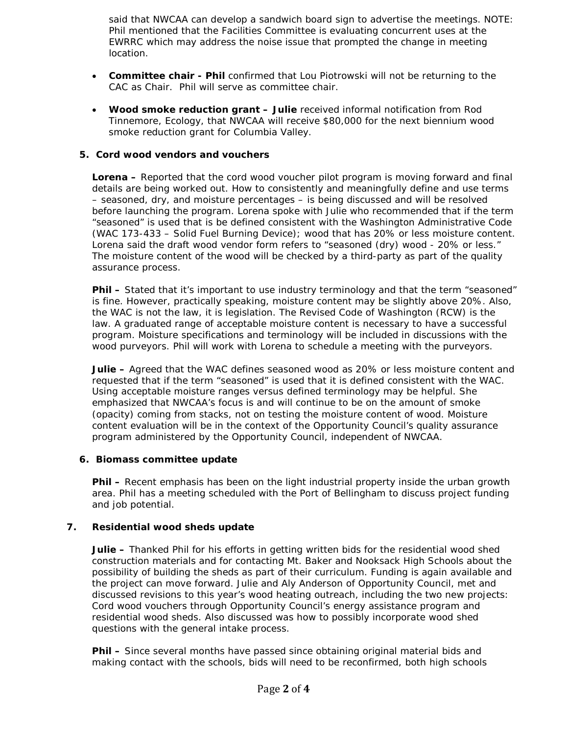said that NWCAA can develop a sandwich board sign to advertise the meetings. NOTE: Phil mentioned that the Facilities Committee is evaluating concurrent uses at the EWRRC which may address the noise issue that prompted the change in meeting location.

- **Committee chair - Phil** confirmed that Lou Piotrowski will not be returning to the CAC as Chair. Phil will serve as committee chair.
- **Wood smoke reduction grant – Julie** received informal notification from Rod Tinnemore, Ecology, that NWCAA will receive \$80,000 for the next biennium wood smoke reduction grant for Columbia Valley.

### **5. Cord wood vendors and vouchers**

**Lorena –** Reported that the cord wood voucher pilot program is moving forward and final details are being worked out. How to consistently and meaningfully define and use terms – seasoned, dry, and moisture percentages – is being discussed and will be resolved before launching the program. Lorena spoke with Julie who recommended that if the term "seasoned" is used that is be defined consistent with the Washington Administrative Code (WAC 173-433 – Solid Fuel Burning Device); wood that has 20% or less moisture content. Lorena said the draft wood vendor form refers to "seasoned (dry) wood - 20% or less." The moisture content of the wood will be checked by a third-party as part of the quality assurance process.

**Phil –** Stated that it's important to use industry terminology and that the term "seasoned" is fine. However, practically speaking, moisture content may be slightly above 20%. Also, the WAC is not the law, it is legislation. The Revised Code of Washington (RCW) is the law. A graduated range of acceptable moisture content is necessary to have a successful program. Moisture specifications and terminology will be included in discussions with the wood purveyors. Phil will work with Lorena to schedule a meeting with the purveyors.

**Julie –** Agreed that the WAC defines seasoned wood as 20% or less moisture content and requested that if the term "seasoned" is used that it is defined consistent with the WAC. Using acceptable moisture ranges versus defined terminology may be helpful. She emphasized that NWCAA's focus is and will continue to be on the amount of smoke (opacity) coming from stacks, not on testing the moisture content of wood. Moisture content evaluation will be in the context of the Opportunity Council's quality assurance program administered by the Opportunity Council, independent of NWCAA.

#### **6. Biomass committee update**

**Phil –** Recent emphasis has been on the light industrial property inside the urban growth area. Phil has a meeting scheduled with the Port of Bellingham to discuss project funding and job potential.

## **7. Residential wood sheds update**

**Julie –** Thanked Phil for his efforts in getting written bids for the residential wood shed construction materials and for contacting Mt. Baker and Nooksack High Schools about the possibility of building the sheds as part of their curriculum. Funding is again available and the project can move forward. Julie and Aly Anderson of Opportunity Council, met and discussed revisions to this year's wood heating outreach, including the two new projects: Cord wood vouchers through Opportunity Council's energy assistance program and residential wood sheds. Also discussed was how to possibly incorporate wood shed questions with the general intake process.

**Phil –** Since several months have passed since obtaining original material bids and making contact with the schools, bids will need to be reconfirmed, both high schools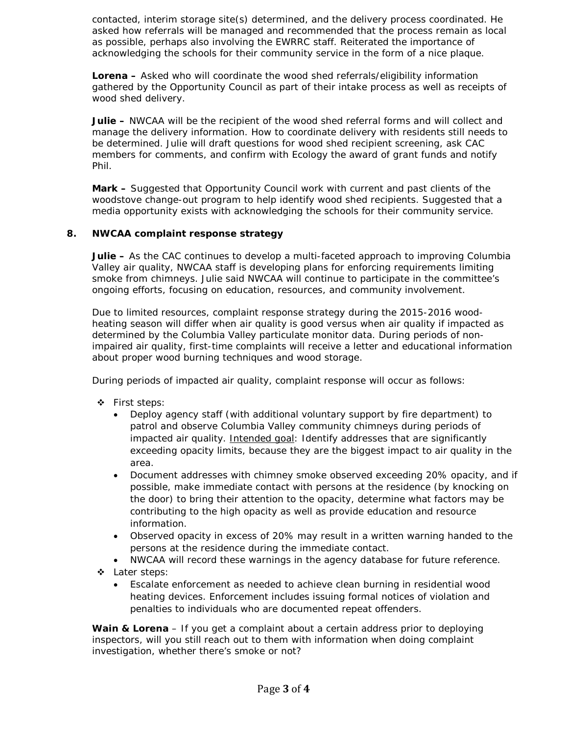contacted, interim storage site(s) determined, and the delivery process coordinated. He asked how referrals will be managed and recommended that the process remain as local as possible, perhaps also involving the EWRRC staff. Reiterated the importance of acknowledging the schools for their community service in the form of a nice plaque.

**Lorena –** Asked who will coordinate the wood shed referrals/eligibility information gathered by the Opportunity Council as part of their intake process as well as receipts of wood shed delivery.

**Julie –** NWCAA will be the recipient of the wood shed referral forms and will collect and manage the delivery information. How to coordinate delivery with residents still needs to be determined. Julie will draft questions for wood shed recipient screening, ask CAC members for comments, and confirm with Ecology the award of grant funds and notify Phil.

**Mark –** Suggested that Opportunity Council work with current and past clients of the woodstove change-out program to help identify wood shed recipients. Suggested that a media opportunity exists with acknowledging the schools for their community service.

## **8. NWCAA complaint response strategy**

**Julie –** As the CAC continues to develop a multi-faceted approach to improving Columbia Valley air quality, NWCAA staff is developing plans for enforcing requirements limiting smoke from chimneys. Julie said NWCAA will continue to participate in the committee's ongoing efforts, focusing on education, resources, and community involvement.

Due to limited resources, complaint response strategy during the 2015-2016 woodheating season will differ when air quality is good versus when air quality if impacted as determined by the Columbia Valley particulate monitor data. During periods of nonimpaired air quality, first-time complaints will receive a letter and educational information about proper wood burning techniques and wood storage.

During periods of impacted air quality, complaint response will occur as follows:

- First steps:
	- Deploy agency staff (with additional voluntary support by fire department) to patrol and observe Columbia Valley community chimneys during periods of impacted air quality. Intended goal: Identify addresses that are significantly exceeding opacity limits, because they are the biggest impact to air quality in the area.
	- Document addresses with chimney smoke observed exceeding 20% opacity, and if possible, make immediate contact with persons at the residence (by knocking on the door) to bring their attention to the opacity, determine what factors may be contributing to the high opacity as well as provide education and resource information.
	- Observed opacity in excess of 20% may result in a written warning handed to the persons at the residence during the immediate contact.
	- NWCAA will record these warnings in the agency database for future reference.
- Later steps:
	- Escalate enforcement as needed to achieve clean burning in residential wood heating devices. Enforcement includes issuing formal notices of violation and penalties to individuals who are documented repeat offenders.

**Wain & Lorena** – If you get a complaint about a certain address prior to deploying inspectors, will you still reach out to them with information when doing complaint investigation, whether there's smoke or not?